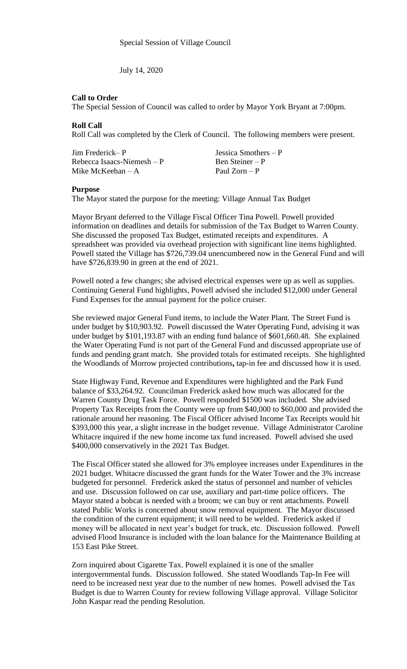July 14, 2020

## **Call to Order**

The Special Session of Council was called to order by Mayor York Bryant at 7:00pm.

## **Roll Call**

Roll Call was completed by the Clerk of Council. The following members were present.

| Jim Frederick— P           | Jessica Smothers $- P$ |
|----------------------------|------------------------|
| Rebecca Isaacs-Niemesh – P | Ben Steiner – P        |
| Mike McKeehan – A          | Paul $Zorn - P$        |

## **Purpose**

The Mayor stated the purpose for the meeting: Village Annual Tax Budget

Mayor Bryant deferred to the Village Fiscal Officer Tina Powell. Powell provided information on deadlines and details for submission of the Tax Budget to Warren County. She discussed the proposed Tax Budget, estimated receipts and expenditures. A spreadsheet was provided via overhead projection with significant line items highlighted. Powell stated the Village has \$726,739.04 unencumbered now in the General Fund and will have \$726,839.90 in green at the end of 2021.

Powell noted a few changes; she advised electrical expenses were up as well as supplies. Continuing General Fund highlights, Powell advised she included \$12,000 under General Fund Expenses for the annual payment for the police cruiser.

She reviewed major General Fund items, to include the Water Plant. The Street Fund is under budget by \$10,903.92. Powell discussed the Water Operating Fund, advising it was under budget by \$101,193.87 with an ending fund balance of \$601,660.48. She explained the Water Operating Fund is not part of the General Fund and discussed appropriate use of funds and pending grant match. She provided totals for estimated receipts. She highlighted the Woodlands of Morrow projected contributions**,** tap-in fee and discussed how it is used.

State Highway Fund, Revenue and Expenditures were highlighted and the Park Fund balance of \$33,264.92. Councilman Frederick asked how much was allocated for the Warren County Drug Task Force. Powell responded \$1500 was included. She advised Property Tax Receipts from the County were up from \$40,000 to \$60,000 and provided the rationale around her reasoning. The Fiscal Officer advised Income Tax Receipts would hit \$393,000 this year, a slight increase in the budget revenue. Village Administrator Caroline Whitacre inquired if the new home income tax fund increased. Powell advised she used \$400,000 conservatively in the 2021 Tax Budget.

The Fiscal Officer stated she allowed for 3% employee increases under Expenditures in the 2021 budget. Whitacre discussed the grant funds for the Water Tower and the 3% increase budgeted for personnel. Frederick asked the status of personnel and number of vehicles and use. Discussion followed on car use, auxiliary and part-time police officers. The Mayor stated a bobcat is needed with a broom; we can buy or rent attachments. Powell stated Public Works is concerned about snow removal equipment. The Mayor discussed the condition of the current equipment; it will need to be welded. Frederick asked if money will be allocated in next year's budget for truck, etc. Discussion followed. Powell advised Flood Insurance is included with the loan balance for the Maintenance Building at 153 East Pike Street.

Zorn inquired about Cigarette Tax. Powell explained it is one of the smaller intergovernmental funds. Discussion followed. She stated Woodlands Tap-In Fee will need to be increased next year due to the number of new homes. Powell advised the Tax Budget is due to Warren County for review following Village approval. Village Solicitor John Kaspar read the pending Resolution.